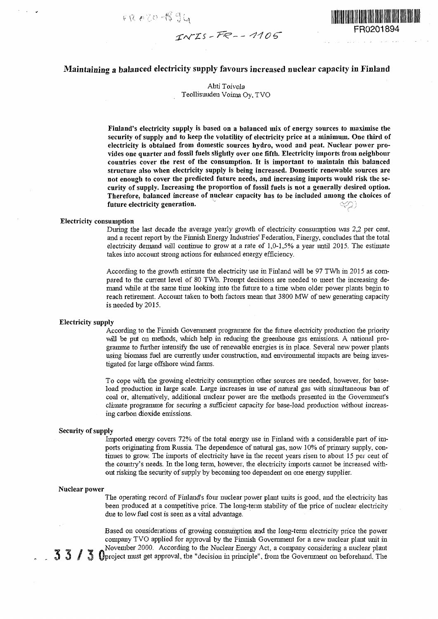**ft** *rZ^ -U***<sup>C</sup>3u**



# Maintaining a balanced electricity supply favours increased nuclear capacity in Finland

Ahti Toivola Teollisuudeu Voima Oy, TVO

Finland's electricity supply is based on a balanced mix of energy sources to maximise the **security of supply and to keep the volatility of electricity price at a nuniinurn. One third of electricity is obtained from domestic sources hydro, wood and peat. Nuclear power provides one quarter and fossil fuels slightly over one fifth. Electricity imports from neighbour countries cover the rest of the consumption. It is important to maintain this balanced structure also when electricity supply is being increased. Domestic renewable sources are not enough to cover the predicted future needs, and increasing imports would risk the security of supply. Increasing the proportion of fossil fuels is not a generally desired option. Therefore, balanced increase of nuclear capacity has to be included among the choices of** future electricity generation.

## **Electricity consumption**

During the last decade the average yearly growth of electricity consumption was 2,2 per cent, and a recent report by the Finnish Energy Industries' Federation, Finergy, concludes that the total electricity demand will continue to grow at a rate of 1,0-1,5% a year until 2015. The estimate takes into account strong actions for enhanced energy efficiency.

According to the growth estimate the electricity use in Finland will be 97 TWh in 2015 as compared to the current level of 80 TWh. Prompt decisions are needed to meet the increasing demand while at the same time looking into the future to a time when older power plants begin to reach retirement. Account taken to both factors mean that 3800 MW of new generating capacity is needed by 2015.

#### **Electricity supply**

According to the Finnish Government programme for the future electricity production the priority will be put on methods, which help in reducing the greenhouse gas emissions. A national programme to further intensify the use of renewable energies is in place. Several new power plants using biomass fuel are currently under construction, and environmental impacts are being investigated for large offshore wind farms.

To cope with the growing electricity consumption other sources are needed, however, for baseload production in large scale. Large increases in use of natural gas with simultaneous ban of coal or, alternatively, additional nuclear power are the methods presented in the Government's climate programme for securing a sufficient capacity for base-load production without increasing carbon dioxide emissions.

### **Security of supply**

Imported energy covers 72% of the total energy use in Finland with a considerable part of imports originating from Russia. The dependence of natural gas, now 10% of primary supply, continues to grow. The imports of electricity have in the recent years risen to about 15 per ceut of the country's needs. In the long term, however, the electricity imports cannot be increased without risking the security of supply by becoming too dependent on one energy supplier.

#### **Nuclear power**

The operating record of Finland's four nuclear power plant units is good, and the electricity has been produced at a competitive price. The long-term stability of the price of nuclear electricity due to low fuel cost is seen as a vital advantage.

Based on considerations of growing consumption and the long-term electricity price the power company TVO applied for approval by the Finnish Government for a new nuclear plant unit in November 2000. According to the Nuclear Energy Act, a company considering a nuclear plant  $\mathfrak I$  Uproject must get approval, the "decision in principle", from the Government on beforehand. The